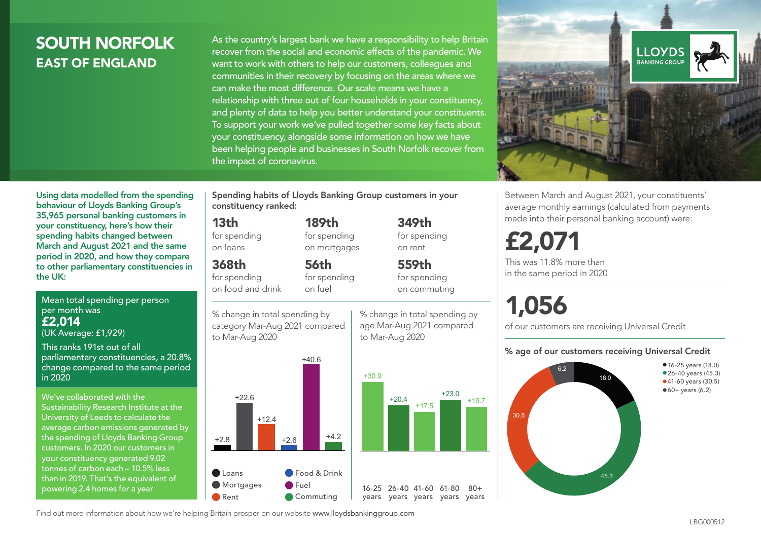## SOUTH NORFOLK EAST OF ENGLAND

As the country's largest bank we have a responsibility to help Britain recover from the social and economic effects of the pandemic. We want to work with others to help our customers, colleagues and communities in their recovery by focusing on the areas where we can make the most difference. Our scale means we have a relationship with three out of four households in your constituency, and plenty of data to help you better understand your constituents. To support your work we've pulled together some key facts about your constituency, alongside some information on how we have been helping people and businesses in South Norfolk recover from the impact of coronavirus.



Between March and August 2021, your constituents' average monthly earnings (calculated from payments made into their personal banking account) were:

## £2,071

This was 11.8% more than in the same period in 2020

# 1,056

of our customers are receiving Universal Credit

#### % age of our customers receiving Universal Credit



period in 2020, and how they compare to other parliamentary constituencies in

Mean total spending per person per month was £2,014 (UK Average: £1,929)

Using data modelled from the spending behaviour of Lloyds Banking Group's 35,965 personal banking customers in your constituency, here's how their spending habits changed between March and August 2021 and the same

This ranks 191st out of all

the UK:

parliamentary constituencies, a 20.8% change compared to the same period in 2020

We've collaborated with the Sustainability Research Institute at the University of Leeds to calculate the average carbon emissions generated by the spending of Lloyds Banking Group customers. In 2020 our customers in your constituency generated 9.02 tonnes of carbon each – 10.5% less than in 2019. That's the equivalent of powering 2.4 homes for a year

Spending habits of Lloyds Banking Group customers in your constituency ranked:

> 189th for spending on mortgages

56th for spending on fuel

#### 13th

for spending on loans

#### 368th

for spending on food and drink

% change in total spending by category Mar-Aug 2021 compared





% change in total spending by age Mar-Aug 2021 compared

to Mar-Aug 2020

349th for spending on rent

 $+23.0$   $+19.7$ 

 $80 +$ 

559th for spending on commuting

Find out more information about how we're helping Britain prosper on our website www.lloydsbankinggroup.com